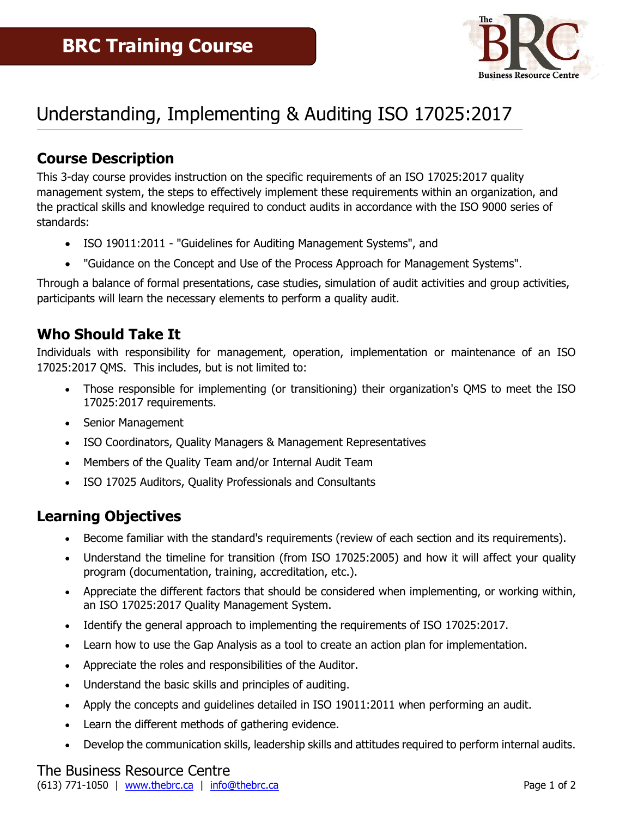

# Understanding, Implementing & Auditing ISO 17025:2017

### **Course Description**

This 3-day course provides instruction on the specific requirements of an ISO 17025:2017 quality management system, the steps to effectively implement these requirements within an organization, and the practical skills and knowledge required to conduct audits in accordance with the ISO 9000 series of standards:

- ISO 19011:2011 "Guidelines for Auditing Management Systems", and
- "Guidance on the Concept and Use of the Process Approach for Management Systems".

Through a balance of formal presentations, case studies, simulation of audit activities and group activities, participants will learn the necessary elements to perform a quality audit.

### **Who Should Take It**

Individuals with responsibility for management, operation, implementation or maintenance of an ISO 17025:2017 QMS. This includes, but is not limited to:

- Those responsible for implementing (or transitioning) their organization's QMS to meet the ISO 17025:2017 requirements.
- Senior Management
- ISO Coordinators, Quality Managers & Management Representatives
- Members of the Quality Team and/or Internal Audit Team
- ISO 17025 Auditors, Quality Professionals and Consultants

### **Learning Objectives**

- Become familiar with the standard's requirements (review of each section and its requirements).
- Understand the timeline for transition (from ISO 17025:2005) and how it will affect your quality program (documentation, training, accreditation, etc.).
- Appreciate the different factors that should be considered when implementing, or working within, an ISO 17025:2017 Quality Management System.
- Identify the general approach to implementing the requirements of ISO 17025:2017.
- Learn how to use the Gap Analysis as a tool to create an action plan for implementation.
- Appreciate the roles and responsibilities of the Auditor.
- Understand the basic skills and principles of auditing.
- Apply the concepts and guidelines detailed in ISO 19011:2011 when performing an audit.
- Learn the different methods of gathering evidence.
- Develop the communication skills, leadership skills and attitudes required to perform internal audits.

## The Business Resource Centre